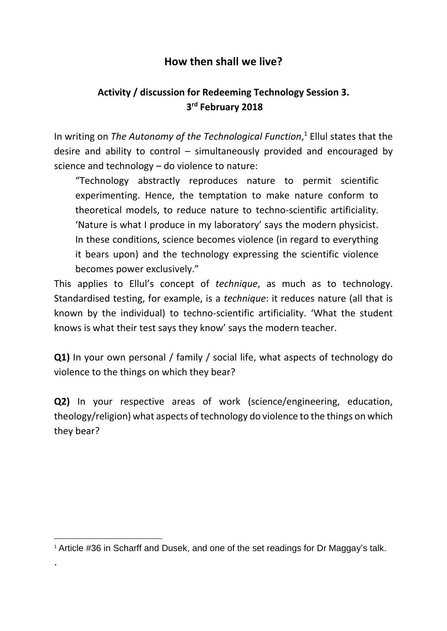## **How then shall we live?**

## **Activity / discussion for Redeeming Technology Session 3. 3 rd February 2018**

In writing on *The Autonomy of the Technological Function*, <sup>1</sup> Ellul states that the desire and ability to control – simultaneously provided and encouraged by science and technology – do violence to nature:

"Technology abstractly reproduces nature to permit scientific experimenting. Hence, the temptation to make nature conform to theoretical models, to reduce nature to techno-scientific artificiality. 'Nature is what I produce in my laboratory' says the modern physicist. In these conditions, science becomes violence (in regard to everything it bears upon) and the technology expressing the scientific violence becomes power exclusively."

This applies to Ellul's concept of *technique*, as much as to technology. Standardised testing, for example, is a *technique*: it reduces nature (all that is known by the individual) to techno-scientific artificiality. 'What the student knows is what their test says they know' says the modern teacher.

**Q1)** In your own personal / family / social life, what aspects of technology do violence to the things on which they bear?

**Q2)** In your respective areas of work (science/engineering, education, theology/religion) what aspects of technology do violence to the things on which they bear?

.

<sup>1</sup> <sup>1</sup> Article #36 in Scharff and Dusek, and one of the set readings for Dr Maggay's talk.